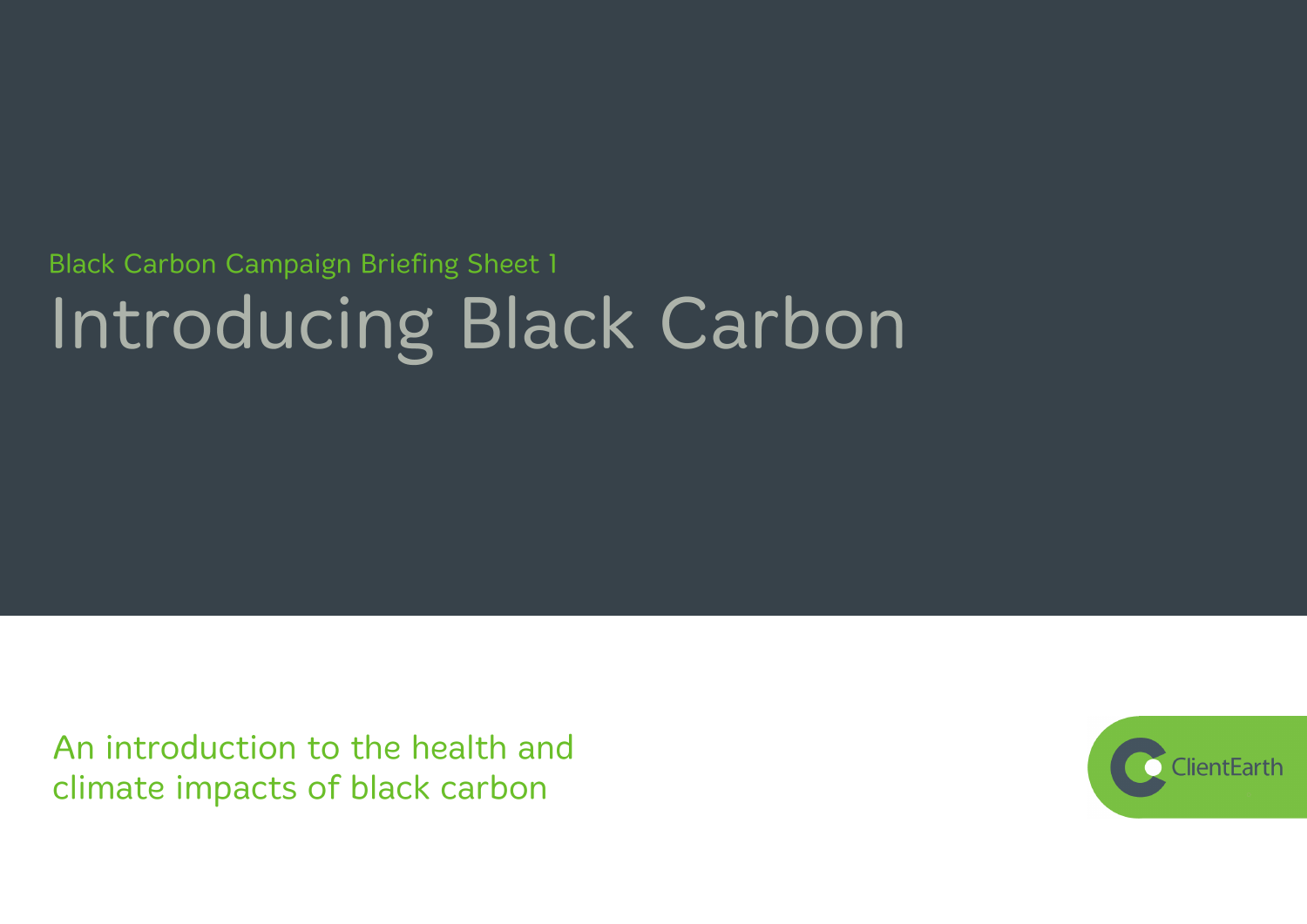# **Black Carbon Campaign Briefing Sheet 1** Introducing Black Carbon

An introduction to the health and climate impacts of black carbon

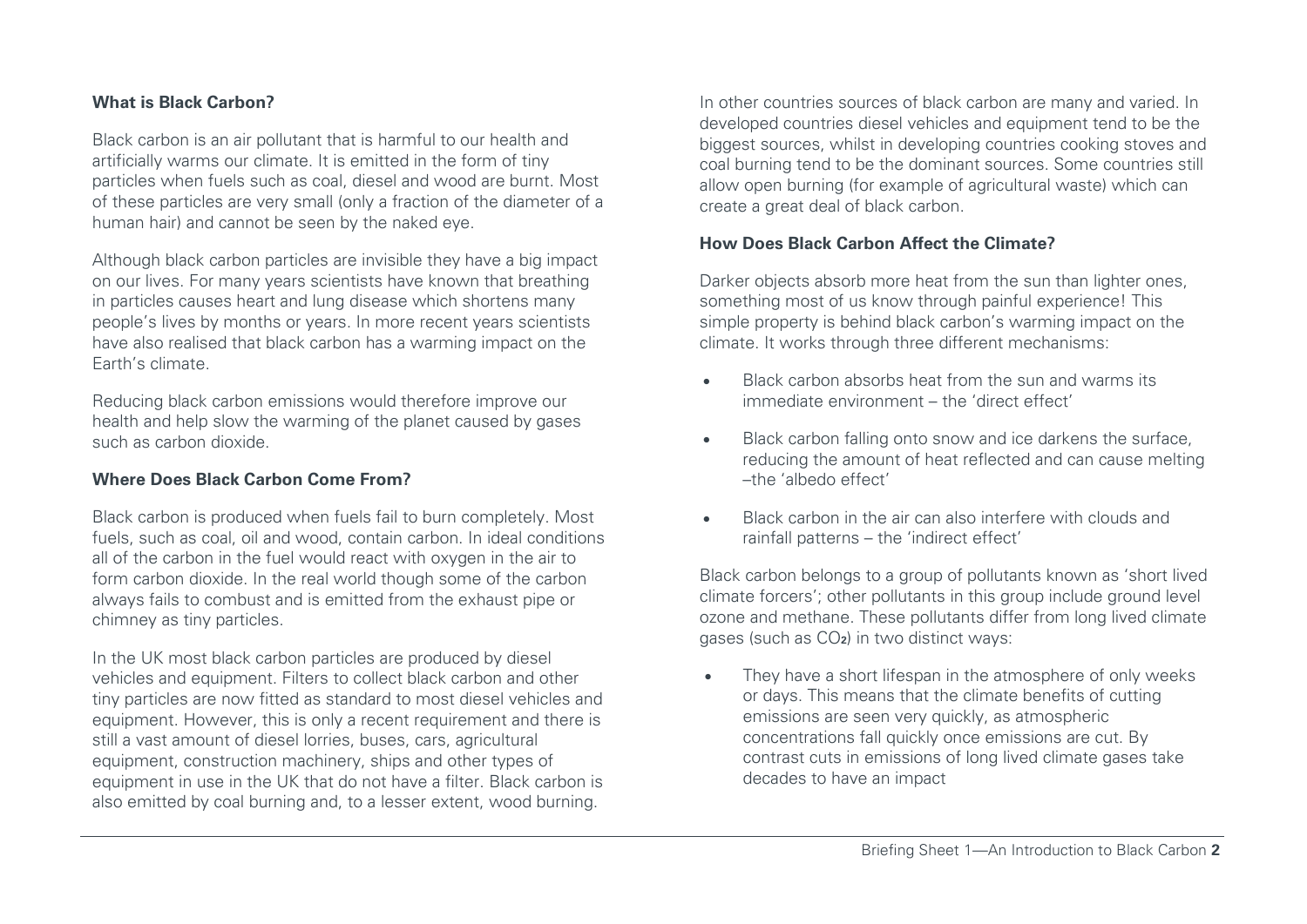## **What is Black Carbon?**

Black carbon is an air pollutant that is harmful to our health and artificially warms our climate. It is emitted in the form of tiny particles when fuels such as coal, diesel and wood are burnt. Most of these particles are very small (only a fraction of the diameter of a human hair) and cannot be seen by the naked eye.

Although black carbon particles are invisible they have a big impact on our lives. For many years scientists have known that breathing in particles causes heart and lung disease which shortens many people's lives by months or years. In more recent years scientists have also realised that black carbon has a warming impact on the Earth's climate.

Reducing black carbon emissions would therefore improve our health and help slow the warming of the planet caused by gases such as carbon dioxide.

## **Where Does Black Carbon Come From?**

Black carbon is produced when fuels fail to burn completely. Most fuels, such as coal, oil and wood, contain carbon. In ideal conditions all of the carbon in the fuel would react with oxygen in the air to form carbon dioxide. In the real world though some of the carbon always fails to combust and is emitted from the exhaust pipe or chimney as tiny particles.

In the UK most black carbon particles are produced by diesel vehicles and equipment. Filters to collect black carbon and other tiny particles are now fitted as standard to most diesel vehicles and equipment. However, this is only a recent requirement and there is still a vast amount of diesel lorries, buses, cars, agricultural equipment, construction machinery, ships and other types of equipment in use in the UK that do not have a filter. Black carbon is also emitted by coal burning and, to a lesser extent, wood burning.

In other countries sources of black carbon are many and varied. In developed countries diesel vehicles and equipment tend to be the biggest sources, whilst in developing countries cooking stoves and coal burning tend to be the dominant sources. Some countries still allow open burning (for example of agricultural waste) which can create a great deal of black carbon.

## **How Does Black Carbon Affect the Climate?**

Darker objects absorb more heat from the sun than lighter ones, something most of us know through painful experience! This simple property is behind black carbon's warming impact on the climate. It works through three different mechanisms:

- Black carbon absorbs heat from the sun and warms its immediate environment – the 'direct effect'
- Black carbon falling onto snow and ice darkens the surface, reducing the amount of heat reflected and can cause melting –the 'albedo effect'
- Black carbon in the air can also interfere with clouds and rainfall patterns – the 'indirect effect'

Black carbon belongs to a group of pollutants known as 'short lived climate forcers'; other pollutants in this group include ground level ozone and methane. These pollutants differ from long lived climate gases (such as CO**2**) in two distinct ways:

• They have a short lifespan in the atmosphere of only weeks or days. This means that the climate benefits of cutting emissions are seen very quickly, as atmospheric concentrations fall quickly once emissions are cut. By contrast cuts in emissions of long lived climate gases take decades to have an impact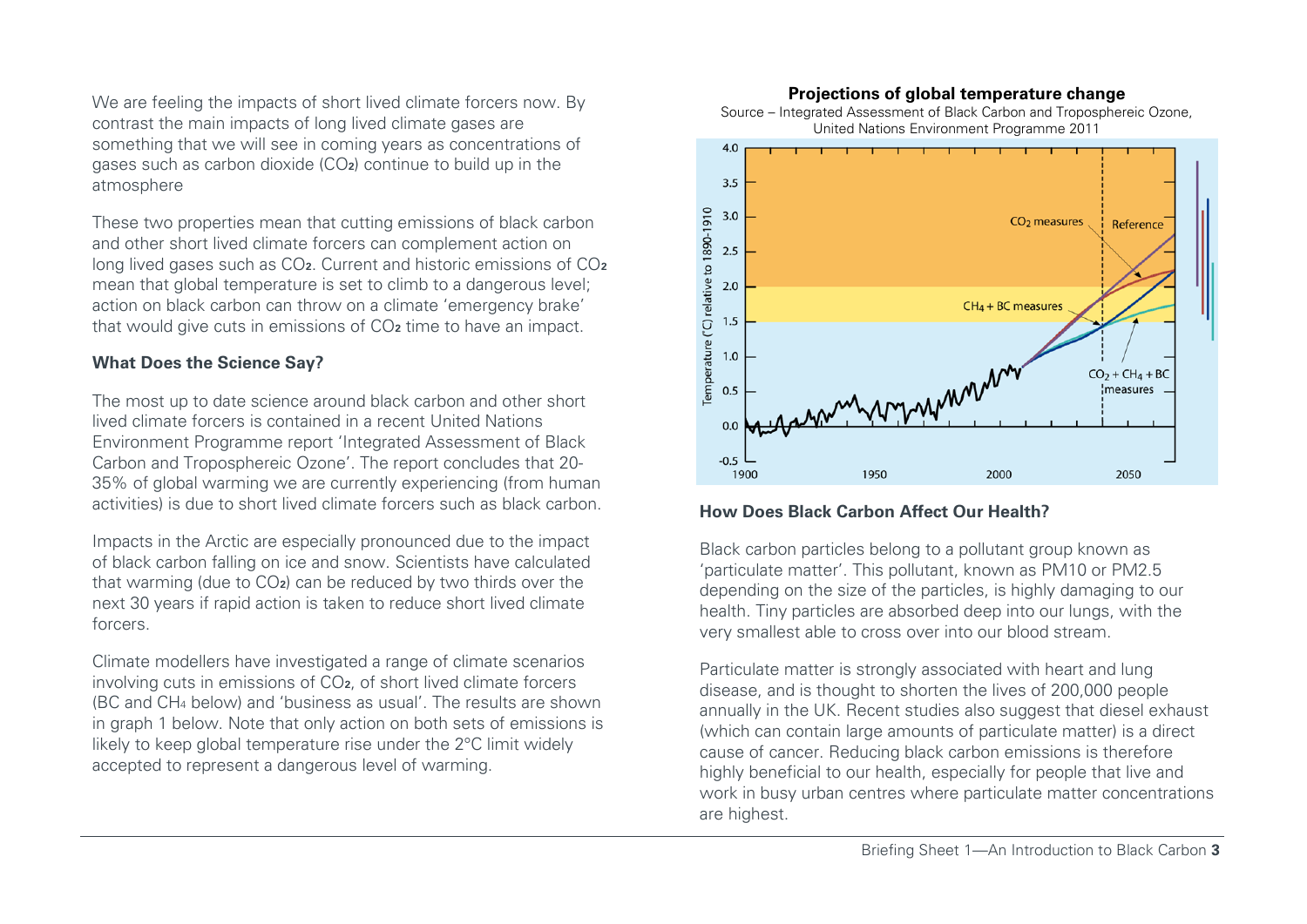We are feeling the impacts of short lived climate forcers now. By contrast the main impacts of long lived climate gases are something that we will see in coming years as concentrations of gases such as carbon dioxide (CO**2**) continue to build up in the atmosphere

These two properties mean that cutting emissions of black carbon and other short lived climate forcers can complement action on long lived gases such as CO**2**. Current and historic emissions of CO**<sup>2</sup>** mean that global temperature is set to climb to a dangerous level; action on black carbon can throw on a climate 'emergency brake' that would give cuts in emissions of CO**<sup>2</sup>** time to have an impact.

## **What Does the Science Say?**

The most up to date science around black carbon and other short lived climate forcers is contained in a recent United Nations Environment Programme report 'Integrated Assessment of Black Carbon and Troposphereic Ozone'. The report concludes that 20- 35% of global warming we are currently experiencing (from human activities) is due to short lived climate forcers such as black carbon.

Impacts in the Arctic are especially pronounced due to the impact of black carbon falling on ice and snow. Scientists have calculated that warming (due to CO**2**) can be reduced by two thirds over the next 30 years if rapid action is taken to reduce short lived climate forcers.

Climate modellers have investigated a range of climate scenarios involving cuts in emissions of CO**2**, of short lived climate forcers (BC and CH<sup>4</sup> below) and 'business as usual'. The results are shown in graph 1 below. Note that only action on both sets of emissions is likely to keep global temperature rise under the 2°C limit widely accepted to represent a dangerous level of warming.

### **Projections of global temperature change**



#### Source – Integrated Assessment of Black Carbon and Troposphereic Ozone, United Nations Environment Programme 2011

## **How Does Black Carbon Affect Our Health?**

Black carbon particles belong to a pollutant group known as 'particulate matter'. This pollutant, known as PM10 or PM2.5 depending on the size of the particles, is highly damaging to our health. Tiny particles are absorbed deep into our lungs, with the very smallest able to cross over into our blood stream.

Particulate matter is strongly associated with heart and lung disease, and is thought to shorten the lives of 200,000 people annually in the UK. Recent studies also suggest that diesel exhaust (which can contain large amounts of particulate matter) is a direct cause of cancer. Reducing black carbon emissions is therefore highly beneficial to our health, especially for people that live and work in busy urban centres where particulate matter concentrations are highest.